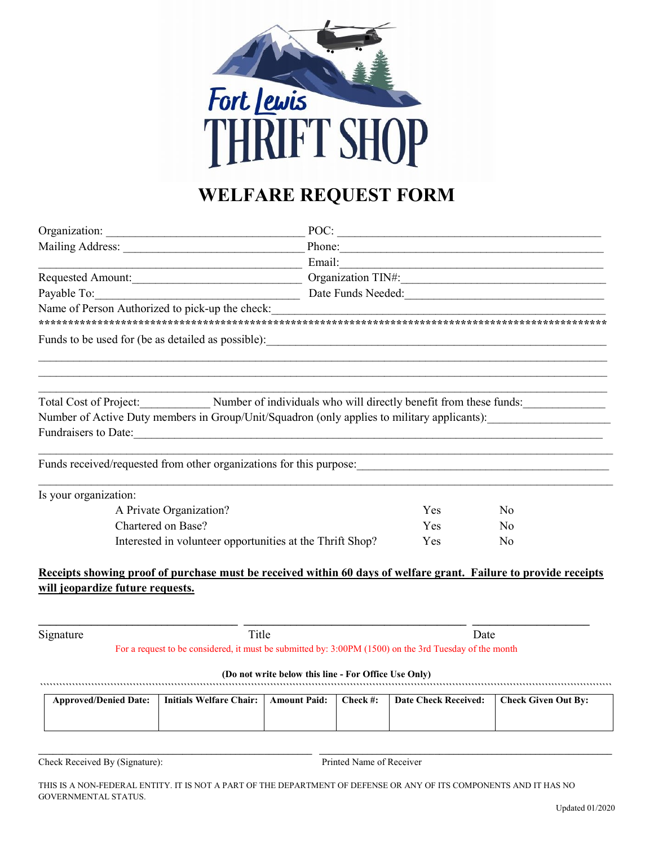

## WELFARE REQUEST FORM

|                                                           |                                                                                                                                                                                                                                |            | POC:           |  |
|-----------------------------------------------------------|--------------------------------------------------------------------------------------------------------------------------------------------------------------------------------------------------------------------------------|------------|----------------|--|
|                                                           |                                                                                                                                                                                                                                |            |                |  |
|                                                           | <u> Alexandria de la contrada de la contrada de la contrada de la contrada de la contrada de la contrada de la c</u>                                                                                                           |            |                |  |
|                                                           |                                                                                                                                                                                                                                |            |                |  |
|                                                           |                                                                                                                                                                                                                                |            |                |  |
|                                                           | Name of Person Authorized to pick-up the check:                                                                                                                                                                                |            |                |  |
|                                                           |                                                                                                                                                                                                                                |            |                |  |
|                                                           |                                                                                                                                                                                                                                |            |                |  |
|                                                           | Total Cost of Project: Number of individuals who will directly benefit from these funds:                                                                                                                                       |            |                |  |
|                                                           | Number of Active Duty members in Group/Unit/Squadron (only applies to military applicants):                                                                                                                                    |            |                |  |
|                                                           | Fundraisers to Date: 100 million and the contract of the contract of the contract of the contract of the contract of the contract of the contract of the contract of the contract of the contract of the contract of the contr |            |                |  |
|                                                           |                                                                                                                                                                                                                                |            |                |  |
| Is your organization:                                     |                                                                                                                                                                                                                                |            |                |  |
| A Private Organization?                                   |                                                                                                                                                                                                                                | Yes        | No             |  |
| Chartered on Base?                                        |                                                                                                                                                                                                                                | <b>Yes</b> | N <sub>0</sub> |  |
| Interested in volunteer opportunities at the Thrift Shop? |                                                                                                                                                                                                                                | Yes        | No             |  |
|                                                           | Receipts showing proof of purchase must be received within 60 days of welfare grant. Failure to provide receipts                                                                                                               |            |                |  |
| will jeopardize future requests.                          |                                                                                                                                                                                                                                |            |                |  |
|                                                           |                                                                                                                                                                                                                                |            |                |  |
| Signature                                                 | Title                                                                                                                                                                                                                          |            | Date           |  |

For a request to be considered, it must be submitted by: 3:00PM (1500) on the 3rd Tuesday of the month

## (Do not write below this line - For Office Use Only) ``````````````````````````````````````````````````````````````````````````````````````````````````````````````````````````````````````````````````````````````````````````````````` Approved/Denied Date: | Initials Welfare Chair: | Amount Paid: | Check #: | Date Check Received: | Check Given Out By:

Check Received By (Signature): Printed Name of Receiver

THIS IS A NON-FEDERAL ENTITY. IT IS NOT A PART OF THE DEPARTMENT OF DEFENSE OR ANY OF ITS COMPONENTS AND IT HAS NO GOVERNMENTAL STATUS.